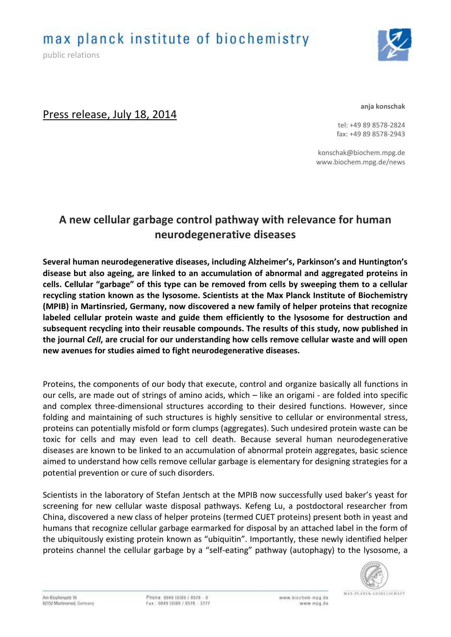max planck institute of biochemistry

public relations



# Press release, July 18, 2014

**anja konschak**

tel: +49 89 8578-2824 fax: +49 89 8578-2943

konschak@biochem.mpg.de www.biochem.mpg.de/news

# **A new cellular garbage control pathway with relevance for human neurodegenerative diseases**

**Several human neurodegenerative diseases, including Alzheimer's, Parkinson's and Huntington's disease but also ageing, are linked to an accumulation of abnormal and aggregated proteins in cells. Cellular "garbage" of this type can be removed from cells by sweeping them to a cellular recycling station known as the lysosome. Scientists at the Max Planck Institute of Biochemistry (MPIB) in Martinsried, Germany, now discovered a new family of helper proteins that recognize labeled cellular protein waste and guide them efficiently to the lysosome for destruction and subsequent recycling into their reusable compounds. The results of this study, now published in the journal** *Cell***, are crucial for our understanding how cells remove cellular waste and will open new avenues for studies aimed to fight neurodegenerative diseases.**

Proteins, the components of our body that execute, control and organize basically all functions in our cells, are made out of strings of amino acids, which – like an origami - are folded into specific and complex three-dimensional structures according to their desired functions. However, since folding and maintaining of such structures is highly sensitive to cellular or environmental stress, proteins can potentially misfold or form clumps (aggregates). Such undesired protein waste can be toxic for cells and may even lead to cell death. Because several human neurodegenerative diseases are known to be linked to an accumulation of abnormal protein aggregates, basic science aimed to understand how cells remove cellular garbage is elementary for designing strategies for a potential prevention or cure of such disorders.

Scientists in the laboratory of Stefan Jentsch at the MPIB now successfully used baker's yeast for screening for new cellular waste disposal pathways. Kefeng Lu, a postdoctoral researcher from China, discovered a new class of helper proteins (termed CUET proteins) present both in yeast and humans that recognize cellular garbage earmarked for disposal by an attached label in the form of the ubiquitously existing protein known as "ubiquitin". Importantly, these newly identified helper proteins channel the cellular garbage by a "self-eating" pathway (autophagy) to the lysosome, a



Am Klopferspitz 18 82152 Martinsried, Germany